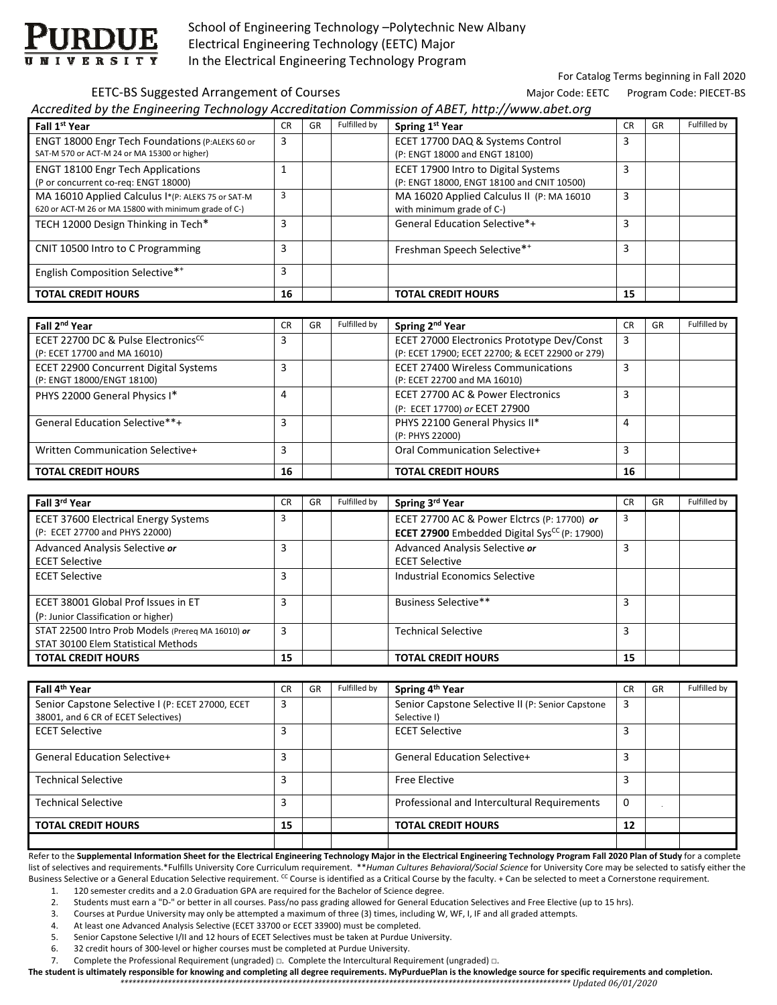

 School of Engineering Technology –Polytechnic New Albany Electrical Engineering Technology (EETC) Major In the Electrical Engineering Technology Program

For Catalog Terms beginning in Fall 2020

### EETC-BS Suggested Arrangement of Courses **Base of the Courses** Major Code: EETC Program Code: PIECET-BS

*Accredited by the Engineering Technology Accreditation Commission of ABET, http://www.abet.org*

| Fall 1 <sup>st</sup> Year                                                                                  | CR | GR | Fulfilled by | Spring 1st Year                                                                   | <b>CR</b> | GR | Fulfilled by |
|------------------------------------------------------------------------------------------------------------|----|----|--------------|-----------------------------------------------------------------------------------|-----------|----|--------------|
| ENGT 18000 Engr Tech Foundations (P:ALEKS 60 or<br>SAT-M 570 or ACT-M 24 or MA 15300 or higher)            | 3  |    |              | ECET 17700 DAQ & Systems Control<br>(P: ENGT 18000 and ENGT 18100)                | 3         |    |              |
| <b>ENGT 18100 Engr Tech Applications</b><br>(P or concurrent co-req: ENGT 18000)                           |    |    |              | ECET 17900 Intro to Digital Systems<br>(P: ENGT 18000, ENGT 18100 and CNIT 10500) | 3         |    |              |
| MA 16010 Applied Calculus I*(P: ALEKS 75 or SAT-M<br>620 or ACT-M 26 or MA 15800 with minimum grade of C-) | 3  |    |              | MA 16020 Applied Calculus II (P: MA 16010<br>with minimum grade of C-)            | 3         |    |              |
| TECH 12000 Design Thinking in Tech*                                                                        | 3  |    |              | General Education Selective*+                                                     | 3         |    |              |
| CNIT 10500 Intro to C Programming                                                                          | 3  |    |              | Freshman Speech Selective**                                                       | 3         |    |              |
| English Composition Selective**                                                                            | 3  |    |              |                                                                                   |           |    |              |
| <b>TOTAL CREDIT HOURS</b>                                                                                  | 16 |    |              | <b>TOTAL CREDIT HOURS</b>                                                         | 15        |    |              |

| Fall 2 <sup>nd</sup> Year                                                       | <b>CR</b> | GR | Fulfilled by | Spring 2 <sup>nd</sup> Year                                                                    | <b>CR</b> | GR | Fulfilled by |
|---------------------------------------------------------------------------------|-----------|----|--------------|------------------------------------------------------------------------------------------------|-----------|----|--------------|
| ECET 22700 DC & Pulse Electronics <sup>CC</sup><br>(P: ECET 17700 and MA 16010) | 3         |    |              | ECET 27000 Electronics Prototype Dev/Const<br>(P: ECET 17900; ECET 22700; & ECET 22900 or 279) | 3         |    |              |
| ECET 22900 Concurrent Digital Systems<br>(P: ENGT 18000/ENGT 18100)             |           |    |              | <b>ECET 27400 Wireless Communications</b><br>(P: ECET 22700 and MA 16010)                      | 3         |    |              |
| PHYS 22000 General Physics I*                                                   | 4         |    |              | ECET 27700 AC & Power Electronics<br>(P: ECET 17700) or ECET 27900                             | 3         |    |              |
| General Education Selective**+                                                  | 3         |    |              | PHYS 22100 General Physics II*<br>(P: PHYS 22000)                                              | 4         |    |              |
| Written Communication Selective+                                                | 3         |    |              | Oral Communication Selective+                                                                  | 3         |    |              |
| <b>TOTAL CREDIT HOURS</b>                                                       | 16        |    |              | <b>TOTAL CREDIT HOURS</b>                                                                      | 16        |    |              |

| Fall 3rd Year                                     | <b>CR</b> | GR | Fulfilled by | Spring 3rd Year                                                 | <b>CR</b> | GR | Fulfilled by |
|---------------------------------------------------|-----------|----|--------------|-----------------------------------------------------------------|-----------|----|--------------|
| <b>ECET 37600 Electrical Energy Systems</b>       |           |    |              | ECET 27700 AC & Power Elctrcs (P: 17700) or                     | 3         |    |              |
| (P: ECET 27700 and PHYS 22000)                    |           |    |              | <b>ECET 27900</b> Embedded Digital Sys <sup>CC</sup> (P: 17900) |           |    |              |
| Advanced Analysis Selective or                    |           |    |              | Advanced Analysis Selective or                                  | 3         |    |              |
| <b>ECET Selective</b>                             |           |    |              | <b>ECET Selective</b>                                           |           |    |              |
| <b>ECET Selective</b>                             |           |    |              | Industrial Economics Selective                                  |           |    |              |
|                                                   |           |    |              |                                                                 |           |    |              |
| ECET 38001 Global Prof Issues in ET               | 3         |    |              | Business Selective**                                            | 3         |    |              |
| (P: Junior Classification or higher)              |           |    |              |                                                                 |           |    |              |
| STAT 22500 Intro Prob Models (Prereg MA 16010) or | 3         |    |              | <b>Technical Selective</b>                                      | 3         |    |              |
| STAT 30100 Elem Statistical Methods               |           |    |              |                                                                 |           |    |              |
| <b>TOTAL CREDIT HOURS</b>                         | 15        |    |              | <b>TOTAL CREDIT HOURS</b>                                       | 15        |    |              |

| Fall 4 <sup>th</sup> Year                                                               | <b>CR</b> | GR | Fulfilled by | Spring 4 <sup>th</sup> Year                                      | <b>CR</b> | GR | Fulfilled by |
|-----------------------------------------------------------------------------------------|-----------|----|--------------|------------------------------------------------------------------|-----------|----|--------------|
| Senior Capstone Selective I (P: ECET 27000, ECET<br>38001, and 6 CR of ECET Selectives) | 3         |    |              | Senior Capstone Selective II (P: Senior Capstone<br>Selective I) | 3         |    |              |
| <b>ECET Selective</b>                                                                   | 3         |    |              | <b>ECET Selective</b>                                            |           |    |              |
| <b>General Education Selective+</b>                                                     | 3         |    |              | General Education Selective+                                     |           |    |              |
| <b>Technical Selective</b>                                                              | 3         |    |              | <b>Free Elective</b>                                             |           |    |              |
| <b>Technical Selective</b>                                                              | 3         |    |              | Professional and Intercultural Requirements                      |           |    |              |
| <b>TOTAL CREDIT HOURS</b>                                                               | 15        |    |              | <b>TOTAL CREDIT HOURS</b>                                        | 12        |    |              |

Refer to the Supplemental Information Sheet for the Electrical Engineering Technology Major in the Electrical Engineering Technology Program Fall 2020 Plan of Study for a complete list of selectives and requirements.\*Fulfills University Core Curriculum requirement. \*\**Human Cultures Behavioral/Social Science* for University Core may be selected to satisfy either the Business Selective or a General Education Selective requirement. <sup>CC</sup> Course is identified as a Critical Course by the faculty. + Can be selected to meet a Cornerstone requirement.

1. 120 semester credits and a 2.0 Graduation GPA are required for the Bachelor of Science degree.

2. Students must earn a "D-" or better in all courses. Pass/no pass grading allowed for General Education Selectives and Free Elective (up to 15 hrs).

3. Courses at Purdue University may only be attempted a maximum of three (3) times, including W, WF, I, IF and all graded attempts.

4. At least one Advanced Analysis Selective (ECET 33700 or ECET 33900) must be completed.

5. Senior Capstone Selective I/II and 12 hours of ECET Selectives must be taken at Purdue University.

6. 32 credit hours of 300‐level or higher courses must be completed at Purdue University.

7. Complete the Professional Requirement (ungraded) □. Complete the Intercultural Requirement (ungraded) □.

The student is ultimately responsible for knowing and completing all degree requirements. MyPurduePlan is the knowledge source for specific requirements and completion. *\*\*\*\*\*\*\*\*\*\*\*\*\*\*\*\*\*\*\*\*\*\*\*\*\*\*\*\*\*\*\*\*\*\*\*\*\*\*\*\*\*\*\*\*\*\*\*\*\*\*\*\*\*\*\*\*\*\*\*\*\*\*\*\*\*\*\*\*\*\*\*\*\*\*\*\*\*\*\*\*\*\*\*\*\*\*\*\*\*\*\*\*\*\*\*\*\*\*\*\*\*\*\*\*\*\*\*\*\*\*\*\*\*\* Updated 06/01/2020*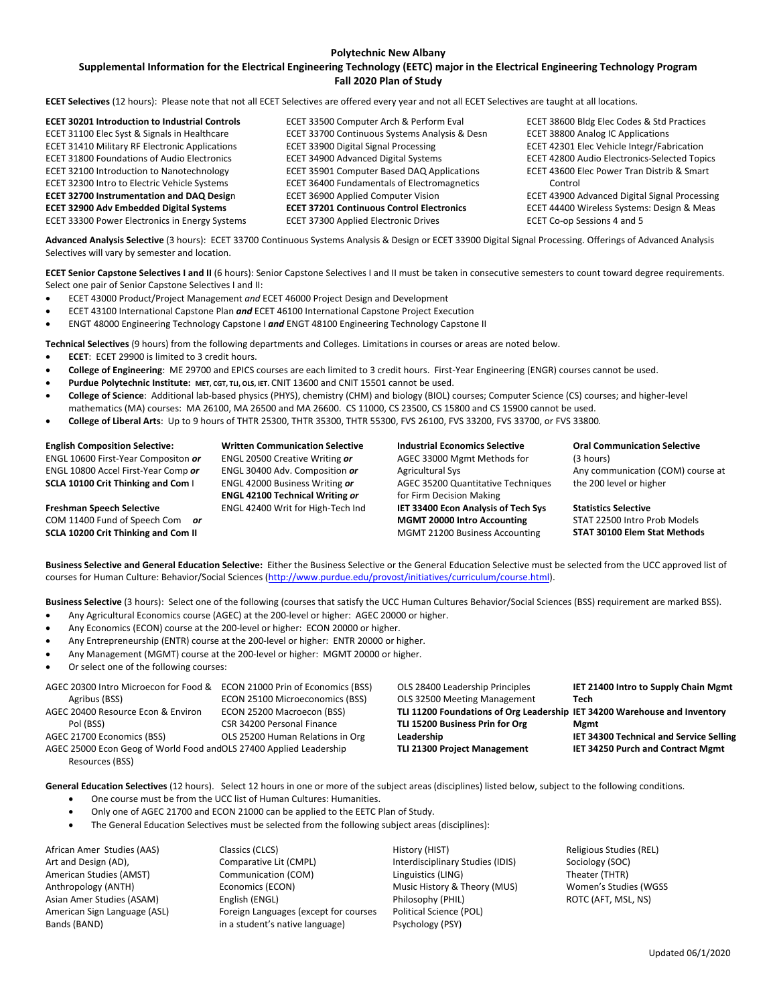#### **Polytechnic New Albany**

#### Supplemental Information for the Electrical Engineering Technology (EETC) major in the Electrical Engineering Technology Program **Fall 2020 Plan of Study**

**ECET Selectives** (12 hours):Please note that not all ECET Selectives are offered every year and not all ECET Selectives are taught at all locations.

| <b>ECET 30201 Introduction to Industrial Controls</b> | ECET 33500 Computer Arch & Perform Eval          | ECET 38600 Bldg Elec Codes & Std Practices    |
|-------------------------------------------------------|--------------------------------------------------|-----------------------------------------------|
| ECET 31100 Elec Syst & Signals in Healthcare          | ECET 33700 Continuous Systems Analysis & Desn    | <b>ECET 38800 Analog IC Applications</b>      |
| <b>ECET 31410 Military RF Electronic Applications</b> | <b>ECET 33900 Digital Signal Processing</b>      | ECET 42301 Elec Vehicle Integr/Fabrication    |
| <b>ECET 31800 Foundations of Audio Electronics</b>    | ECET 34900 Advanced Digital Systems              | ECET 42800 Audio Electronics-Selected Topics  |
| ECET 32100 Introduction to Nanotechnology             | ECET 35901 Computer Based DAQ Applications       | ECET 43600 Elec Power Tran Distrib & Smart    |
| ECET 32300 Intro to Electric Vehicle Systems          | ECET 36400 Fundamentals of Electromagnetics      | Control                                       |
| <b>ECET 32700 Instrumentation and DAQ Design</b>      | ECET 36900 Applied Computer Vision               | ECET 43900 Advanced Digital Signal Processing |
| <b>ECET 32900 Adv Embedded Digital Systems</b>        | <b>ECET 37201 Continuous Control Electronics</b> | ECET 44400 Wireless Systems: Design & Meas    |
| ECET 33300 Power Electronics in Energy Systems        | <b>ECET 37300 Applied Electronic Drives</b>      | ECET Co-op Sessions 4 and 5                   |

**Advanced Analysis Selective** (3 hours): ECET 33700 Continuous Systems Analysis & Design or ECET 33900 Digital Signal Processing. Offerings of Advanced Analysis Selectives will vary by semester and location.

**ECET Senior Capstone Selectives I and II** (6 hours): Senior Capstone Selectives I and II must be taken in consecutive semesters to count toward degree requirements. Select one pair of Senior Capstone Selectives I and II:

- ECET 43000 Product/Project Management *and* ECET 46000 Project Design and Development
- ECET 43100 International Capstone Plan *and* ECET 46100 International Capstone Project Execution
- ENGT 48000 Engineering Technology Capstone I *and* ENGT 48100 Engineering Technology Capstone II

**Technical Selectives** (9 hours) from the following departments and Colleges. Limitations in courses or areas are noted below.

- **ECET**: ECET 29900 is limited to 3 credit hours.
- **College of Engineering**: ME 29700 and EPICS courses are each limited to 3 credit hours. First‐Year Engineering (ENGR) courses cannot be used.
- **Purdue Polytechnic Institute: MET, CGT, TLI, OLS, IET.** CNIT 13600 and CNIT 15501 cannot be used.
- **College of Science**: Additional lab‐based physics (PHYS), chemistry (CHM) and biology (BIOL) courses; Computer Science (CS) courses; and higher‐level mathematics (MA) courses: MA 26100, MA 26500 and MA 26600. CS 11000, CS 23500, CS 15800 and CS 15900 cannot be used.
- **College of Liberal Arts**: Up to 9 hours of THTR 25300, THTR 35300, THTR 55300, FVS 26100, FVS 33200, FVS 33700, or FVS 33800*.*

#### **English Composition Selective:**

**Freshman Speech Selective** COM 11400 Fund of Speech Com *or* **SCLA 10200 Crit Thinking and Com II**

ENGL 10600 First‐Year Compositon *or* ENGL 10800 Accel First‐Year Comp *or* **SCLA 10100 Crit Thinking and Com** I

**Written Communication Selective** ENGL 20500 Creative Writing *or* ENGL 30400 Adv. Composition *or* ENGL 42000 Business Writing *or* **ENGL 42100 Technical Writing** *or* ENGL 42400 Writ for High‐Tech Ind **Industrial Economics Selective** AGEC 33000 Mgmt Methods for Agricultural Sys AGEC 35200 Quantitative Techniques for Firm Decision Making **IET 33400 Econ Analysis of Tech Sys MGMT 20000 Intro Accounting** MGMT 21200 Business Accounting

**Oral Communication Selective**  (3 hours) Any communication (COM) course at the 200 level or higher

**Statistics Selective** STAT 22500 Intro Prob Models **STAT 30100 Elem Stat Methods**

**Business Selective and General Education Selective:** Either the Business Selective or the General Education Selective must be selected from the UCC approved list of courses for Human Culture: Behavior/Social Sciences (http://www.purdue.edu/provost/initiatives/curriculum/course.html).

**Business Selective** (3 hours): Select one of the following (courses that satisfy the UCC Human Cultures Behavior/Social Sciences (BSS) requirement are marked BSS).

- Any Agricultural Economics course (AGEC) at the 200‐level or higher: AGEC 20000 or higher.
- Any Economics (ECON) course at the 200‐level or higher: ECON 20000 or higher.
- Any Entrepreneurship (ENTR) course at the 200‐level or higher: ENTR 20000 or higher.
- Any Management (MGMT) course at the 200‐level or higher: MGMT 20000 or higher*.*
- Or select one of the following courses:

| AGEC 20300 Intro Microecon for Food &                               | ECON 21000 Prin of Economics (BSS) | OLS 28400 Leadership Principles                                           | IET 21400 Intro to Supply Chain Mgmt    |
|---------------------------------------------------------------------|------------------------------------|---------------------------------------------------------------------------|-----------------------------------------|
| Agribus (BSS)                                                       | ECON 25100 Microeconomics (BSS)    | OLS 32500 Meeting Management                                              | Tech                                    |
| AGEC 20400 Resource Econ & Environ                                  | ECON 25200 Macroecon (BSS)         | TLI 11200 Foundations of Org Leadership IET 34200 Warehouse and Inventory |                                         |
| Pol (BSS)                                                           | CSR 34200 Personal Finance         | TLI 15200 Business Prin for Org                                           | Mgmt                                    |
| AGEC 21700 Economics (BSS)                                          | OLS 25200 Human Relations in Org   | Leadership                                                                | IET 34300 Technical and Service Selling |
| AGEC 25000 Econ Geog of World Food and OLS 27400 Applied Leadership |                                    | TLI 21300 Project Management                                              | IET 34250 Purch and Contract Mgmt       |
| Resources (BSS)                                                     |                                    |                                                                           |                                         |

**General Education Selectives** (12 hours). Select 12 hours in one or more of the subject areas (disciplines) listed below, subject to the following conditions.

- One course must be from the UCC list of Human Cultures: Humanities.
- Only one of AGEC 21700 and ECON 21000 can be applied to the EETC Plan of Study.
- The General Education Selectives must be selected from the following subject areas (disciplines):

African Amer Studies (AAS) Art and Design (AD), American Studies (AMST) Anthropology (ANTH) Asian Amer Studies (ASAM) American Sign Language (ASL) Bands (BAND)

Classics (CLCS) Comparative Lit (CMPL) Communication (COM) Economics (ECON) English (ENGL) Foreign Languages (except for courses in a student's native language)

History (HIST) Interdisciplinary Studies (IDIS) Linguistics (LING) Music History & Theory (MUS) Philosophy (PHIL) Political Science (POL) Psychology (PSY)

Religious Studies (REL) Sociology (SOC) Theater (THTR) Women's Studies (WGSS ROTC (AFT, MSL, NS)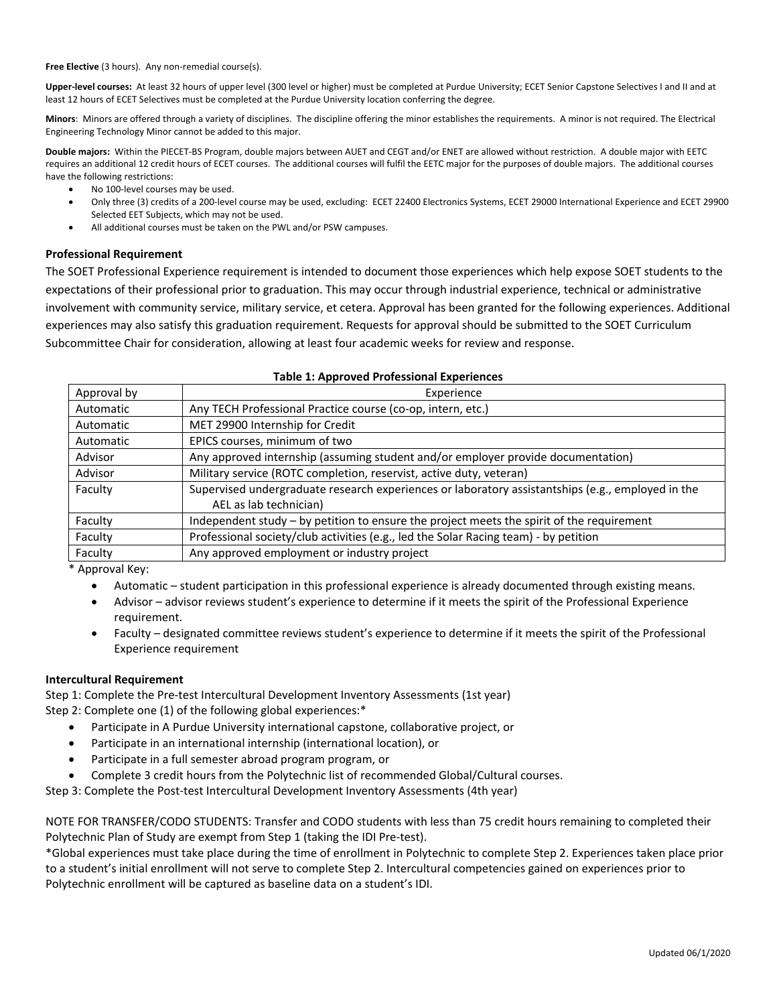**Free Elective** (3 hours). Any non‐remedial course(s).

**Upper‐level courses:** At least 32 hours of upper level (300 level or higher) must be completed at Purdue University; ECET Senior Capstone Selectives I and II and at least 12 hours of ECET Selectives must be completed at the Purdue University location conferring the degree.

**Minors**: Minors are offered through a variety of disciplines. The discipline offering the minor establishes the requirements. A minor is not required. The Electrical Engineering Technology Minor cannot be added to this major.

**Double majors:** Within the PIECET‐BS Program, double majors between AUET and CEGT and/or ENET are allowed without restriction. A double major with EETC requires an additional 12 credit hours of ECET courses. The additional courses will fulfil the EETC major for the purposes of double majors. The additional courses have the following restrictions:

- No 100-level courses may be used.
- Only three (3) credits of a 200‐level course may be used, excluding: ECET 22400 Electronics Systems, ECET 29000 International Experience and ECET 29900 Selected EET Subjects, which may not be used.
- All additional courses must be taken on the PWL and/or PSW campuses.

### **Professional Requirement**

The SOET Professional Experience requirement is intended to document those experiences which help expose SOET students to the expectations of their professional prior to graduation. This may occur through industrial experience, technical or administrative involvement with community service, military service, et cetera. Approval has been granted for the following experiences. Additional experiences may also satisfy this graduation requirement. Requests for approval should be submitted to the SOET Curriculum Subcommittee Chair for consideration, allowing at least four academic weeks for review and response.

| Table 1. Approved Professional Experiences |                                                                                                                             |  |  |  |  |
|--------------------------------------------|-----------------------------------------------------------------------------------------------------------------------------|--|--|--|--|
| Approval by                                | Experience                                                                                                                  |  |  |  |  |
| Automatic                                  | Any TECH Professional Practice course (co-op, intern, etc.)                                                                 |  |  |  |  |
| Automatic                                  | MET 29900 Internship for Credit                                                                                             |  |  |  |  |
| Automatic                                  | EPICS courses, minimum of two                                                                                               |  |  |  |  |
| Advisor                                    | Any approved internship (assuming student and/or employer provide documentation)                                            |  |  |  |  |
| Advisor                                    | Military service (ROTC completion, reservist, active duty, veteran)                                                         |  |  |  |  |
| Faculty                                    | Supervised undergraduate research experiences or laboratory assistantships (e.g., employed in the<br>AEL as lab technician) |  |  |  |  |
| Faculty                                    | Independent study – by petition to ensure the project meets the spirit of the requirement                                   |  |  |  |  |
| Faculty                                    | Professional society/club activities (e.g., led the Solar Racing team) - by petition                                        |  |  |  |  |
| Faculty                                    | Any approved employment or industry project                                                                                 |  |  |  |  |

# **Table 1: Approved Professional Experiences**

\* Approval Key:

- Automatic student participation in this professional experience is already documented through existing means.
- Advisor advisor reviews student's experience to determine if it meets the spirit of the Professional Experience requirement.
- Faculty designated committee reviews student's experience to determine if it meets the spirit of the Professional Experience requirement

## **Intercultural Requirement**

Step 1: Complete the Pre‐test Intercultural Development Inventory Assessments (1st year) Step 2: Complete one (1) of the following global experiences:\*

- Participate in A Purdue University international capstone, collaborative project, or
- Participate in an international internship (international location), or
- Participate in a full semester abroad program program, or
- Complete 3 credit hours from the Polytechnic list of recommended Global/Cultural courses.

Step 3: Complete the Post‐test Intercultural Development Inventory Assessments (4th year)

NOTE FOR TRANSFER/CODO STUDENTS: Transfer and CODO students with less than 75 credit hours remaining to completed their Polytechnic Plan of Study are exempt from Step 1 (taking the IDI Pre‐test).

\*Global experiences must take place during the time of enrollment in Polytechnic to complete Step 2. Experiences taken place prior to a student's initial enrollment will not serve to complete Step 2. Intercultural competencies gained on experiences prior to Polytechnic enrollment will be captured as baseline data on a student's IDI.